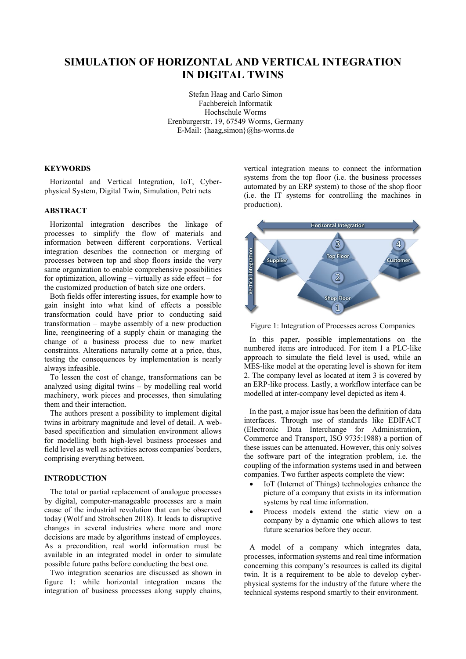# **SIMULATION OF HORIZONTAL AND VERTICAL INTEGRATION IN DIGITAL TWINS**

Stefan Haag and Carlo Simon Fachbereich Informatik Hochschule Worms Erenburgerstr. 19, 67549 Worms, Germany E-Mail: {haag,simon}@hs-worms.de

# **KEYWORDS**

Horizontal and Vertical Integration, IoT, Cyberphysical System, Digital Twin, Simulation, Petri nets

# **ABSTRACT**

Horizontal integration describes the linkage of processes to simplify the flow of materials and information between different corporations. Vertical integration describes the connection or merging of processes between top and shop floors inside the very same organization to enable comprehensive possibilities for optimization, allowing – virtually as side effect – for the customized production of batch size one orders.

Both fields offer interesting issues, for example how to gain insight into what kind of effects a possible transformation could have prior to conducting said transformation – maybe assembly of a new production line, reengineering of a supply chain or managing the change of a business process due to new market constraints. Alterations naturally come at a price, thus, testing the consequences by implementation is nearly always infeasible.

To lessen the cost of change, transformations can be analyzed using digital twins – by modelling real world machinery, work pieces and processes, then simulating them and their interaction.

The authors present a possibility to implement digital twins in arbitrary magnitude and level of detail. A webbased specification and simulation environment allows for modelling both high-level business processes and field level as well as activities across companies' borders, comprising everything between.

## **INTRODUCTION**

The total or partial replacement of analogue processes by digital, computer-manageable processes are a main cause of the industrial revolution that can be observed today (Wolf and Strohschen 2018). It leads to disruptive changes in several industries where more and more decisions are made by algorithms instead of employees. As a precondition, real world information must be available in an integrated model in order to simulate possible future paths before conducting the best one.

Two integration scenarios are discussed as shown in figure 1: while horizontal integration means the integration of business processes along supply chains, vertical integration means to connect the information systems from the top floor (i.e. the business processes automated by an ERP system) to those of the shop floor (i.e. the IT systems for controlling the machines in production).



Figure 1: Integration of Processes across Companies

In this paper, possible implementations on the numbered items are introduced. For item 1 a PLC-like approach to simulate the field level is used, while an MES-like model at the operating level is shown for item 2. The company level as located at item 3 is covered by an ERP-like process. Lastly, a workflow interface can be modelled at inter-company level depicted as item 4.

In the past, a major issue has been the definition of data interfaces. Through use of standards like EDIFACT (Electronic Data Interchange for Administration, Commerce and Transport, ISO 9735:1988) a portion of these issues can be attenuated. However, this only solves the software part of the integration problem, i.e. the coupling of the information systems used in and between companies. Two further aspects complete the view:

- IoT (Internet of Things) technologies enhance the picture of a company that exists in its information systems by real time information.
- Process models extend the static view on a company by a dynamic one which allows to test future scenarios before they occur.

A model of a company which integrates data, processes, information systems and real time information concerning this company's resources is called its digital twin. It is a requirement to be able to develop cyberphysical systems for the industry of the future where the technical systems respond smartly to their environment.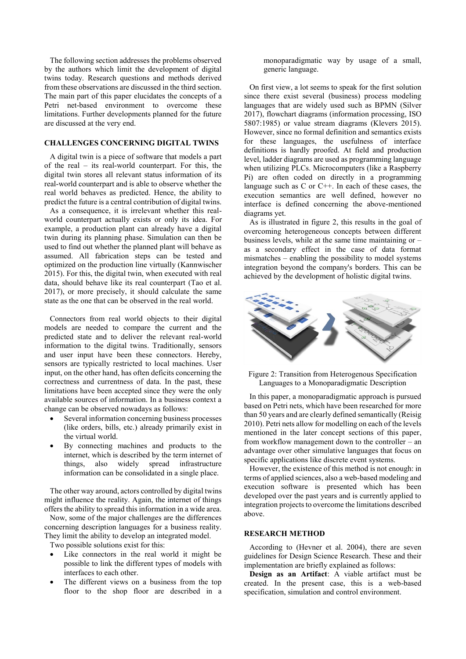The following section addresses the problems observed by the authors which limit the development of digital twins today. Research questions and methods derived from these observations are discussed in the third section. The main part of this paper elucidates the concepts of a Petri net-based environment to overcome these limitations. Further developments planned for the future are discussed at the very end.

# **CHALLENGES CONCERNING DIGITAL TWINS**

A digital twin is a piece of software that models a part of the real – its real-world counterpart. For this, the digital twin stores all relevant status information of its real-world counterpart and is able to observe whether the real world behaves as predicted. Hence, the ability to predict the future is a central contribution of digital twins.

As a consequence, it is irrelevant whether this realworld counterpart actually exists or only its idea. For example, a production plant can already have a digital twin during its planning phase. Simulation can then be used to find out whether the planned plant will behave as assumed. All fabrication steps can be tested and optimized on the production line virtually (Kannwischer 2015). For this, the digital twin, when executed with real data, should behave like its real counterpart (Tao et al. 2017), or more precisely, it should calculate the same state as the one that can be observed in the real world.

Connectors from real world objects to their digital models are needed to compare the current and the predicted state and to deliver the relevant real-world information to the digital twins. Traditionally, sensors and user input have been these connectors. Hereby, sensors are typically restricted to local machines. User input, on the other hand, has often deficits concerning the correctness and currentness of data. In the past, these limitations have been accepted since they were the only available sources of information. In a business context a change can be observed nowadays as follows:

- Several information concerning business processes (like orders, bills, etc.) already primarily exist in the virtual world.
- By connecting machines and products to the internet, which is described by the term internet of things, also widely spread infrastructure information can be consolidated in a single place.

The other way around, actors controlled by digital twins might influence the reality. Again, the internet of things offers the ability to spread this information in a wide area.

Now, some of the major challenges are the differences concerning description languages for a business reality. They limit the ability to develop an integrated model.

Two possible solutions exist for this:

- Like connectors in the real world it might be possible to link the different types of models with interfaces to each other.
- The different views on a business from the top floor to the shop floor are described in a

monoparadigmatic way by usage of a small, generic language.

On first view, a lot seems to speak for the first solution since there exist several (business) process modeling languages that are widely used such as BPMN (Silver 2017), flowchart diagrams (information processing, ISO 5807:1985) or value stream diagrams (Klevers 2015). However, since no formal definition and semantics exists for these languages, the usefulness of interface definitions is hardly proofed. At field and production level, ladder diagrams are used as programming language when utilizing PLCs. Microcomputers (like a Raspberry Pi) are often coded on directly in a programming language such as  $C$  or  $C++$ . In each of these cases, the execution semantics are well defined, however no interface is defined concerning the above-mentioned diagrams yet.

As is illustrated in figure 2, this results in the goal of overcoming heterogeneous concepts between different business levels, while at the same time maintaining or – as a secondary effect in the case of data format mismatches – enabling the possibility to model systems integration beyond the company's borders. This can be achieved by the development of holistic digital twins.



Figure 2: Transition from Heterogenous Specification Languages to a Monoparadigmatic Description

In this paper, a monoparadigmatic approach is pursued based on Petri nets, which have been researched for more than 50 years and are clearly defined semantically (Reisig 2010). Petri nets allow for modelling on each of the levels mentioned in the later concept sections of this paper, from workflow management down to the controller – an advantage over other simulative languages that focus on specific applications like discrete event systems.

However, the existence of this method is not enough: in terms of applied sciences, also a web-based modeling and execution software is presented which has been developed over the past years and is currently applied to integration projects to overcome the limitations described above.

#### **RESEARCH METHOD**

According to (Hevner et al. 2004), there are seven guidelines for Design Science Research. These and their implementation are briefly explained as follows:

**Design as an Artifact**: A viable artifact must be created. In the present case, this is a web-based specification, simulation and control environment.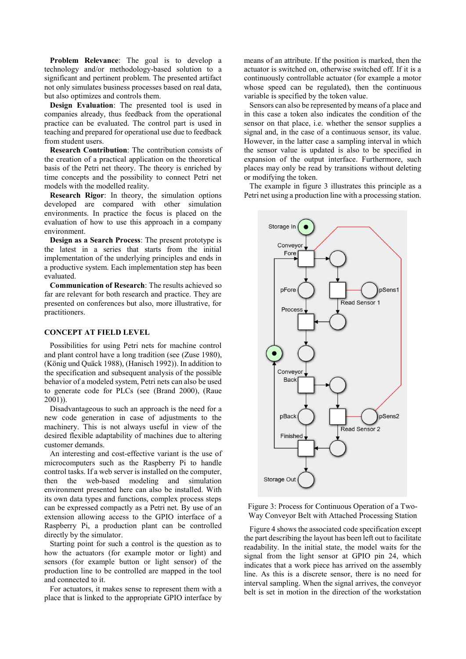**Problem Relevance**: The goal is to develop a technology and/or methodology-based solution to a significant and pertinent problem. The presented artifact not only simulates business processes based on real data, but also optimizes and controls them.

**Design Evaluation**: The presented tool is used in companies already, thus feedback from the operational practice can be evaluated. The control part is used in teaching and prepared for operational use due to feedback from student users.

**Research Contribution**: The contribution consists of the creation of a practical application on the theoretical basis of the Petri net theory. The theory is enriched by time concepts and the possibility to connect Petri net models with the modelled reality.

**Research Rigor**: In theory, the simulation options developed are compared with other simulation environments. In practice the focus is placed on the evaluation of how to use this approach in a company environment.

**Design as a Search Process**: The present prototype is the latest in a series that starts from the initial implementation of the underlying principles and ends in a productive system. Each implementation step has been evaluated.

**Communication of Research**: The results achieved so far are relevant for both research and practice. They are presented on conferences but also, more illustrative, for practitioners.

# **CONCEPT AT FIELD LEVEL**

Possibilities for using Petri nets for machine control and plant control have a long tradition (see (Zuse 1980), (König und Quäck 1988), (Hanisch 1992)). In addition to the specification and subsequent analysis of the possible behavior of a modeled system, Petri nets can also be used to generate code for PLCs (see (Brand 2000), (Raue 2001)).

Disadvantageous to such an approach is the need for a new code generation in case of adjustments to the machinery. This is not always useful in view of the desired flexible adaptability of machines due to altering customer demands.

An interesting and cost-effective variant is the use of microcomputers such as the Raspberry Pi to handle control tasks. If a web server is installed on the computer, then the web-based modeling and simulation environment presented here can also be installed. With its own data types and functions, complex process steps can be expressed compactly as a Petri net. By use of an extension allowing access to the GPIO interface of a Raspberry Pi, a production plant can be controlled directly by the simulator.

Starting point for such a control is the question as to how the actuators (for example motor or light) and sensors (for example button or light sensor) of the production line to be controlled are mapped in the tool and connected to it.

For actuators, it makes sense to represent them with a place that is linked to the appropriate GPIO interface by means of an attribute. If the position is marked, then the actuator is switched on, otherwise switched off. If it is a continuously controllable actuator (for example a motor whose speed can be regulated), then the continuous variable is specified by the token value.

Sensors can also be represented by means of a place and in this case a token also indicates the condition of the sensor on that place, i.e. whether the sensor supplies a signal and, in the case of a continuous sensor, its value. However, in the latter case a sampling interval in which the sensor value is updated is also to be specified in expansion of the output interface. Furthermore, such places may only be read by transitions without deleting or modifying the token.

The example in figure 3 illustrates this principle as a Petri net using a production line with a processing station.



Figure 3: Process for Continuous Operation of a Two-Way Conveyor Belt with Attached Processing Station

Figure 4 shows the associated code specification except the part describing the layout has been left out to facilitate readability. In the initial state, the model waits for the signal from the light sensor at GPIO pin 24, which indicates that a work piece has arrived on the assembly line. As this is a discrete sensor, there is no need for interval sampling. When the signal arrives, the conveyor belt is set in motion in the direction of the workstation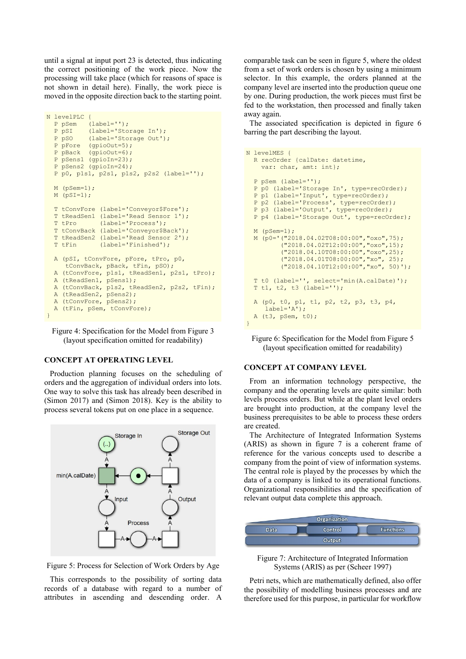until a signal at input port 23 is detected, thus indicating the correct positioning of the work piece. Now the processing will take place (which for reasons of space is not shown in detail here). Finally, the work piece is moved in the opposite direction back to the starting point.

```
N levelPLC {
  P pSem (label='');
   P pSI (label='Storage In'); 
  P pSO (label='Storage Out');
  P pFore (qpioOut=5);
  P pBack (gpioOut=6);
   P pSens1 (gpioIn=23);
   P pSens2 (gpioIn=24);
   P p0, p1s1, p2s1, p1s2, p2s2 (label='');
  M (pSem=1);
  M (pSI=1);
  T tConvFore (label='Conveyor$Fore');
 T tReadSen1 (label='Read Sensor 1');
 T tPro (label='Process');
   T tConvBack (label='Conveyor$Back');
   T tReadSen2 (label='Read Sensor 2');
 T tFin (label='Finished');
  A (pSI, tConvFore, pFore, tPro, p0,
      tConvBack, pBack, tFin, pSO);
  A (tConvFore, p1s1, tReadSen1, p2s1, tPro);
  A (tReadSen1, pSens1);
  A (tConvBack, p1s2, tReadSen2, p2s2, tFin);
  A (tReadSen2, pSens2);
  A (tConvFore, pSens2);
  A (tFin, pSem, tConvFore);
}
```
Figure 4: Specification for the Model from Figure 3 (layout specification omitted for readability)

### **CONCEPT AT OPERATING LEVEL**

Production planning focuses on the scheduling of orders and the aggregation of individual orders into lots. One way to solve this task has already been described in (Simon 2017) and (Simon 2018). Key is the ability to process several tokens put on one place in a sequence.





This corresponds to the possibility of sorting data records of a database with regard to a number of attributes in ascending and descending order. A comparable task can be seen in figure 5, where the oldest from a set of work orders is chosen by using a minimum selector. In this example, the orders planned at the company level are inserted into the production queue one by one. During production, the work pieces must first be fed to the workstation, then processed and finally taken away again.

The associated specification is depicted in figure 6 barring the part describing the layout.

```
N levelMES {
   R recOrder {calDate: datetime,
    var: char, amt: int};
   P pSem (label='');
   P p0 (label='Storage In', type=recOrder);
   P p1 (label='Input', type=recOrder);
  P p2 (label='Process', type=recOrder);
   P p3 (label='Output', type=recOrder);
   P p4 (label='Storage Out', type=recOrder);
   M (pSem=1);
   M (p0='("2018.04.02T08:00:00","oxo",75);
           ("2018.04.02T12:00:00","oxo",15);
           ("2018.04.10T08:00:00","oxo",25);
           ("2018.04.01T08:00:00","xo", 25);
          ("2018.04.10T12:00:00","xo", 50)');
   T t0 (label='', select='min(A.calDate)');
   T t1, t2, t3 (label='');
   A (p0, t0, p1, t1, p2, t2, p3, t3, p4,
      label='A');
   A (t3, pSem, t0);
}
```
Figure 6: Specification for the Model from Figure 5 (layout specification omitted for readability)

### **CONCEPT AT COMPANY LEVEL**

From an information technology perspective, the company and the operating levels are quite similar: both levels process orders. But while at the plant level orders are brought into production, at the company level the business prerequisites to be able to process these orders are created.

The Architecture of Integrated Information Systems (ARIS) as shown in figure 7 is a coherent frame of reference for the various concepts used to describe a company from the point of view of information systems. The central role is played by the processes by which the data of a company is linked to its operational functions. Organizational responsibilities and the specification of relevant output data complete this approach.



Figure 7: Architecture of Integrated Information Systems (ARIS) as per (Scheer 1997)

Petri nets, which are mathematically defined, also offer the possibility of modelling business processes and are therefore used for this purpose, in particular for workflow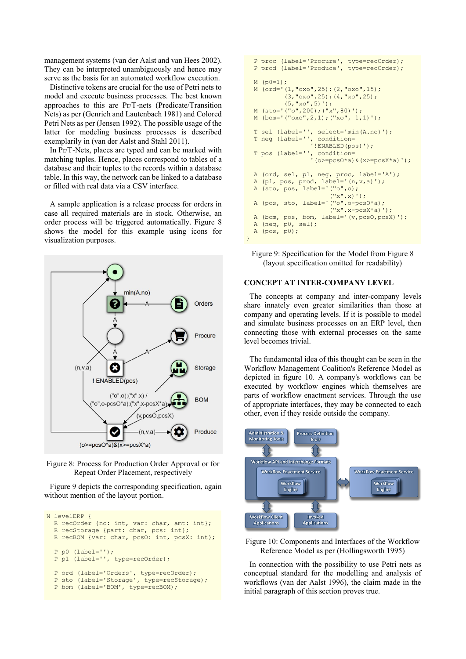management systems (van der Aalst and van Hees 2002). They can be interpreted unambiguously and hence may serve as the basis for an automated workflow execution.

Distinctive tokens are crucial for the use of Petri nets to model and execute business processes. The best known approaches to this are Pr/T-nets (Predicate/Transition Nets) as per (Genrich and Lautenbach 1981) and Colored Petri Nets as per (Jensen 1992). The possible usage of the latter for modeling business processes is described exemplarily in (van der Aalst and Stahl 2011).

In Pr/T-Nets, places are typed and can be marked with matching tuples. Hence, places correspond to tables of a database and their tuples to the records within a database table. In this way, the network can be linked to a database or filled with real data via a CSV interface.

A sample application is a release process for orders in case all required materials are in stock. Otherwise, an order process will be triggered automatically. Figure 8 shows the model for this example using icons for visualization purposes.



Figure 8: Process for Production Order Approval or for Repeat Order Placement, respectively

Figure 9 depicts the corresponding specification, again without mention of the layout portion.

```
N levelERP {
R recOrder {no: int, var: char, amt: int};
R recStorage {part: char, pcs: int};
 R recBOM {var: char, pcsO: int, pcsX: int};
  P p0 (label='');
  P p1 (label='', type=recOrder);
P ord (label='Orders', type=recOrder);
P sto (label='Storage', type=recStorage);
 P bom (label='BOM', type=recBOM);
```

```
 P proc (label='Procure', type=recOrder);
   P prod (label='Produce', type=recOrder);
  M (p0=1);
   M (ord='(1,"oxo",25);(2,"oxo",15);
            (3,"oxo",25);(4,"xo",25);
           (5, "xo", 5)');
   M (sto='("o",200);("x",80)');
   M (bom='("oxo",2,1);("xo", 1,1)');
   T sel (label='', select='min(A.no)');
 T neg (label='', condition=
 '!ENABLED(pos)');
 T pos (label='', condition=
 '(o>=pcsO*a)&(x>=pcsX*a)');
   A (ord, sel, p1, neg, proc, label='A');
   A (p1, pos, prod, label='(n,v,a)');
  A (sto, pos, label='("o",o);<br>
("x", x)');
("X", X)');
A (pos, sto, label='("o",o-pcsO*a);
({}^{\mathsf{w}}\mathbf{x}^{\mathsf{w}}, \mathbf{x}\text{-}\mathtt{p}\mathtt{c}\mathtt{s}\mathtt{X}^{\star}\mathtt{a})');
   A (bom, pos, bom, label='(v,pcsO,pcsX)');
   A (neg, p0, sel);
   A (pos, p0);
}
```
Figure 9: Specification for the Model from Figure 8 (layout specification omitted for readability)

#### **CONCEPT AT INTER-COMPANY LEVEL**

The concepts at company and inter-company levels share innately even greater similarities than those at company and operating levels. If it is possible to model and simulate business processes on an ERP level, then connecting those with external processes on the same level becomes trivial.

The fundamental idea of this thought can be seen in the Workflow Management Coalition's Reference Model as depicted in figure 10. A company's workflows can be executed by workflow engines which themselves are parts of workflow enactment services. Through the use of appropriate interfaces, they may be connected to each other, even if they reside outside the company.



Figure 10: Components and Interfaces of the Workflow Reference Model as per (Hollingsworth 1995)

In connection with the possibility to use Petri nets as conceptual standard for the modelling and analysis of workflows (van der Aalst 1996), the claim made in the initial paragraph of this section proves true.